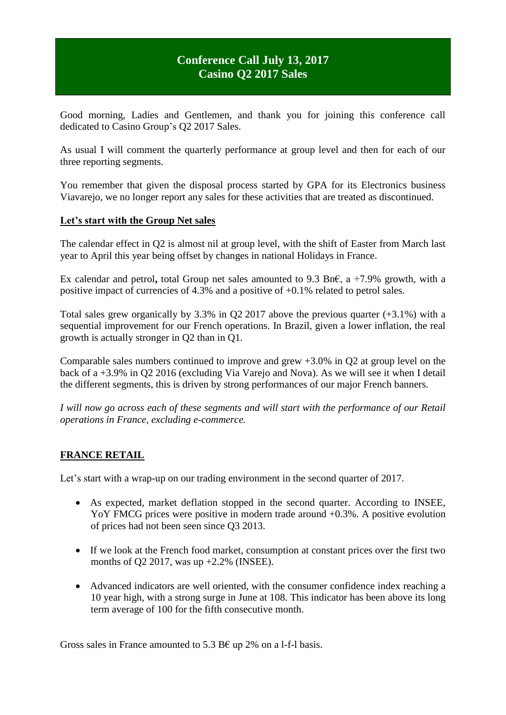# **Conference Call July 13, 2017 Casino Q2 2017 Sales**

Good morning, Ladies and Gentlemen, and thank you for joining this conference call dedicated to Casino Group's Q2 2017 Sales.

As usual I will comment the quarterly performance at group level and then for each of our three reporting segments.

You remember that given the disposal process started by GPA for its Electronics business Viavarejo, we no longer report any sales for these activities that are treated as discontinued.

#### **Let's start with the Group Net sales**

The calendar effect in Q2 is almost nil at group level, with the shift of Easter from March last year to April this year being offset by changes in national Holidays in France.

Ex calendar and petrol**,** total Group net sales amounted to 9.3 Bn€, a +7.9% growth, with a positive impact of currencies of 4.3% and a positive of +0.1% related to petrol sales.

Total sales grew organically by 3.3% in Q2 2017 above the previous quarter (+3.1%) with a sequential improvement for our French operations. In Brazil, given a lower inflation, the real growth is actually stronger in Q2 than in Q1.

Comparable sales numbers continued to improve and grew +3.0% in Q2 at group level on the back of a +3.9% in Q2 2016 (excluding Via Varejo and Nova). As we will see it when I detail the different segments, this is driven by strong performances of our major French banners.

*I will now go across each of these segments and will start with the performance of our Retail operations in France, excluding e-commerce.*

#### **FRANCE RETAIL**

Let's start with a wrap-up on our trading environment in the second quarter of 2017.

- As expected, market deflation stopped in the second quarter. According to INSEE, YoY FMCG prices were positive in modern trade around  $+0.3\%$ . A positive evolution of prices had not been seen since Q3 2013.
- If we look at the French food market, consumption at constant prices over the first two months of Q2 2017, was up  $+2.2\%$  (INSEE).
- Advanced indicators are well oriented, with the consumer confidence index reaching a 10 year high, with a strong surge in June at 108. This indicator has been above its long term average of 100 for the fifth consecutive month.

Gross sales in France amounted to 5.3 B€ up 2% on a 1-f-1 basis.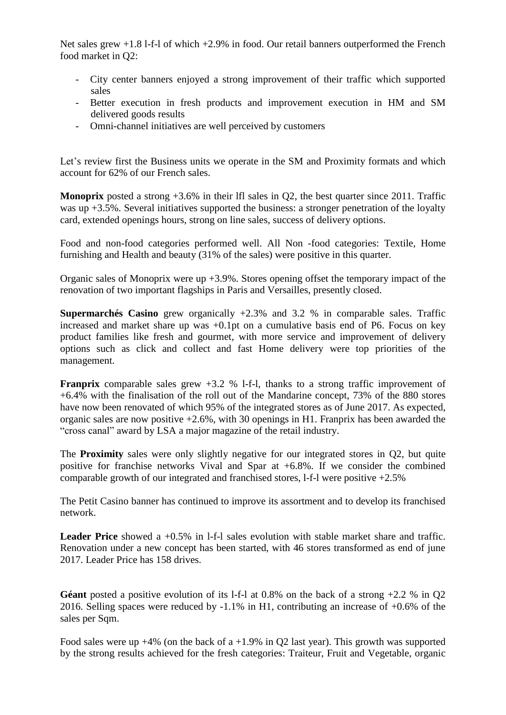Net sales grew  $+1.8$  l-f-l of which  $+2.9\%$  in food. Our retail banners outperformed the French food market in Q2:

- City center banners enjoyed a strong improvement of their traffic which supported sales
- Better execution in fresh products and improvement execution in HM and SM delivered goods results
- Omni-channel initiatives are well perceived by customers

Let's review first the Business units we operate in the SM and Proximity formats and which account for 62% of our French sales.

**Monoprix** posted a strong +3.6% in their lfl sales in Q2, the best quarter since 2011. Traffic was up +3.5%. Several initiatives supported the business: a stronger penetration of the loyalty card, extended openings hours, strong on line sales, success of delivery options.

Food and non-food categories performed well. All Non -food categories: Textile, Home furnishing and Health and beauty (31% of the sales) were positive in this quarter.

Organic sales of Monoprix were up  $+3.9\%$ . Stores opening offset the temporary impact of the renovation of two important flagships in Paris and Versailles, presently closed.

**Supermarchés Casino** grew organically +2.3% and 3.2 % in comparable sales. Traffic increased and market share up was +0.1pt on a cumulative basis end of P6. Focus on key product families like fresh and gourmet, with more service and improvement of delivery options such as click and collect and fast Home delivery were top priorities of the management.

**Franprix** comparable sales grew +3.2 % 1-f-1, thanks to a strong traffic improvement of +6.4% with the finalisation of the roll out of the Mandarine concept, 73% of the 880 stores have now been renovated of which 95% of the integrated stores as of June 2017. As expected, organic sales are now positive +2.6%, with 30 openings in H1. Franprix has been awarded the "cross canal" award by LSA a major magazine of the retail industry.

The **Proximity** sales were only slightly negative for our integrated stores in Q2, but quite positive for franchise networks Vival and Spar at +6.8%. If we consider the combined comparable growth of our integrated and franchised stores, l-f-l were positive +2.5%

The Petit Casino banner has continued to improve its assortment and to develop its franchised network.

**Leader Price** showed a +0.5% in 1-f-1 sales evolution with stable market share and traffic. Renovation under a new concept has been started, with 46 stores transformed as end of june 2017. Leader Price has 158 drives.

**Géant** posted a positive evolution of its 1-f-1 at 0.8% on the back of a strong  $+2.2$  % in Q2 2016. Selling spaces were reduced by -1.1% in H1, contributing an increase of +0.6% of the sales per Sqm.

Food sales were up  $+4\%$  (on the back of a  $+1.9\%$  in Q2 last year). This growth was supported by the strong results achieved for the fresh categories: Traiteur, Fruit and Vegetable, organic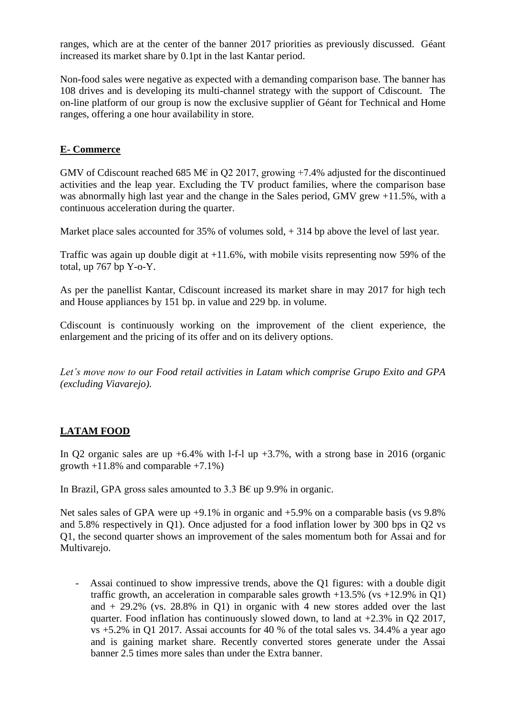ranges, which are at the center of the banner 2017 priorities as previously discussed. Géant increased its market share by 0.1pt in the last Kantar period.

Non-food sales were negative as expected with a demanding comparison base. The banner has 108 drives and is developing its multi-channel strategy with the support of Cdiscount. The on-line platform of our group is now the exclusive supplier of Géant for Technical and Home ranges, offering a one hour availability in store.

### **E- Commerce**

GMV of Cdiscount reached 685 M $\epsilon$  in Q2 2017, growing +7.4% adjusted for the discontinued activities and the leap year. Excluding the TV product families, where the comparison base was abnormally high last year and the change in the Sales period, GMV grew +11.5%, with a continuous acceleration during the quarter.

Market place sales accounted for 35% of volumes sold,  $+$  314 bp above the level of last year.

Traffic was again up double digit at +11.6%, with mobile visits representing now 59% of the total, up 767 bp Y-o-Y.

As per the panellist Kantar, Cdiscount increased its market share in may 2017 for high tech and House appliances by 151 bp. in value and 229 bp. in volume.

Cdiscount is continuously working on the improvement of the client experience, the enlargement and the pricing of its offer and on its delivery options.

*Let's move now to our Food retail activities in Latam which comprise Grupo Exito and GPA (excluding Viavarejo).*

## **LATAM FOOD**

In Q2 organic sales are up  $+6.4\%$  with l-f-l up  $+3.7\%$ , with a strong base in 2016 (organic growth  $+11.8\%$  and comparable  $+7.1\%$ )

In Brazil, GPA gross sales amounted to 3.3 B $\epsilon$  up 9.9% in organic.

Net sales sales of GPA were up +9.1% in organic and +5.9% on a comparable basis (vs 9.8%) and 5.8% respectively in Q1). Once adjusted for a food inflation lower by 300 bps in Q2 vs Q1, the second quarter shows an improvement of the sales momentum both for Assai and for Multivarejo.

- Assai continued to show impressive trends, above the Q1 figures: with a double digit traffic growth, an acceleration in comparable sales growth  $+13.5\%$  (vs  $+12.9\%$  in Q1) and  $+29.2\%$  (vs. 28.8% in Q1) in organic with 4 new stores added over the last quarter. Food inflation has continuously slowed down, to land at  $+2.3\%$  in O2 2017,  $vs +5.2\%$  in Q1 2017. Assai accounts for 40 % of the total sales vs. 34.4% a year ago and is gaining market share. Recently converted stores generate under the Assai banner 2.5 times more sales than under the Extra banner.